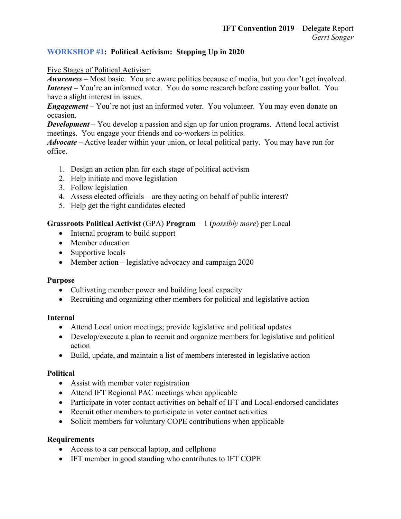## **WORKSHOP #1: Political Activism: Stepping Up in 2020**

### Five Stages of Political Activism

*Awareness* – Most basic. You are aware politics because of media, but you don't get involved. *Interest* – You're an informed voter. You do some research before casting your ballot. You have a slight interest in issues.

*Engagement* – You're not just an informed voter. You volunteer. You may even donate on occasion.

*Development* – You develop a passion and sign up for union programs. Attend local activist meetings. You engage your friends and co-workers in politics.

*Advocate* – Active leader within your union, or local political party. You may have run for office.

- 1. Design an action plan for each stage of political activism
- 2. Help initiate and move legislation
- 3. Follow legislation
- 4. Assess elected officials are they acting on behalf of public interest?
- 5. Help get the right candidates elected

## **Grassroots Political Activist** (GPA) **Program** – 1 (*possibly more*) per Local

- Internal program to build support
- Member education
- Supportive locals
- Member action legislative advocacy and campaign 2020

### **Purpose**

- Cultivating member power and building local capacity
- Recruiting and organizing other members for political and legislative action

### **Internal**

- Attend Local union meetings; provide legislative and political updates
- Develop/execute a plan to recruit and organize members for legislative and political action
- Build, update, and maintain a list of members interested in legislative action

### **Political**

- Assist with member voter registration
- Attend IFT Regional PAC meetings when applicable
- Participate in voter contact activities on behalf of IFT and Local-endorsed candidates
- Recruit other members to participate in voter contact activities
- Solicit members for voluntary COPE contributions when applicable

### **Requirements**

- Access to a car personal laptop, and cellphone
- IFT member in good standing who contributes to IFT COPE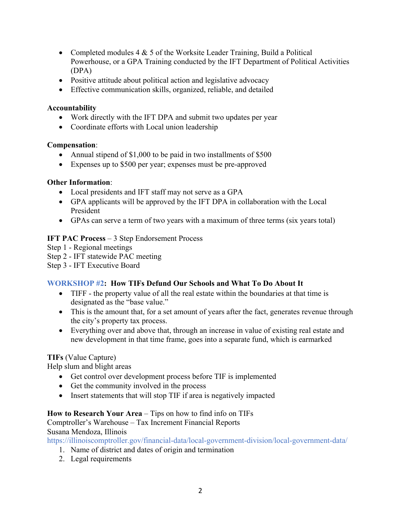- Completed modules  $4 \& 5$  of the Worksite Leader Training, Build a Political Powerhouse, or a GPA Training conducted by the IFT Department of Political Activities (DPA)
- Positive attitude about political action and legislative advocacy
- Effective communication skills, organized, reliable, and detailed

#### **Accountability**

- Work directly with the IFT DPA and submit two updates per year
- Coordinate efforts with Local union leadership

#### **Compensation**:

- Annual stipend of \$1,000 to be paid in two installments of \$500
- Expenses up to \$500 per year; expenses must be pre-approved

#### **Other Information**:

- Local presidents and IFT staff may not serve as a GPA
- GPA applicants will be approved by the IFT DPA in collaboration with the Local President
- GPAs can serve a term of two years with a maximum of three terms (six years total)

### **IFT PAC Process** – 3 Step Endorsement Process

- Step 1 Regional meetings
- Step 2 IFT statewide PAC meeting

Step 3 - IFT Executive Board

### **WORKSHOP #2: How TIFs Defund Our Schools and What To Do About It**

- TIFF the property value of all the real estate within the boundaries at that time is designated as the "base value."
- This is the amount that, for a set amount of years after the fact, generates revenue through the city's property tax process.
- Everything over and above that, through an increase in value of existing real estate and new development in that time frame, goes into a separate fund, which is earmarked

### **TIFs** (Value Capture)

Help slum and blight areas

- Get control over development process before TIF is implemented
- Get the community involved in the process
- Insert statements that will stop TIF if area is negatively impacted

### **How to Research Your Area** – Tips on how to find info on TIFs

# Comptroller's Warehouse – Tax Increment Financial Reports

Susana Mendoza, Illinois

https://illinoiscomptroller.gov/financial-data/local-government-division/local-government-data/

- 1. Name of district and dates of origin and termination
- 2. Legal requirements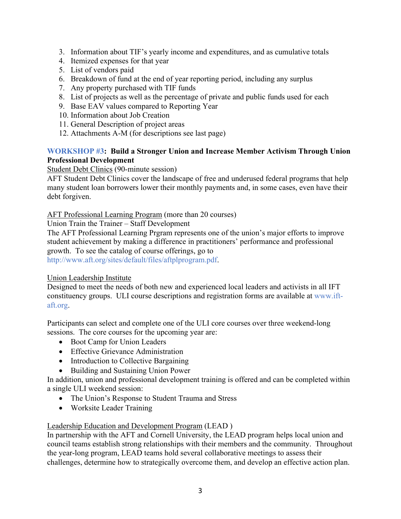- 3. Information about TIF's yearly income and expenditures, and as cumulative totals
- 4. Itemized expenses for that year
- 5. List of vendors paid
- 6. Breakdown of fund at the end of year reporting period, including any surplus
- 7. Any property purchased with TIF funds
- 8. List of projects as well as the percentage of private and public funds used for each
- 9. Base EAV values compared to Reporting Year
- 10. Information about Job Creation
- 11. General Description of project areas
- 12. Attachments A-M (for descriptions see last page)

## **WORKSHOP #3: Build a Stronger Union and Increase Member Activism Through Union Professional Development**

## Student Debt Clinics (90-minute session)

AFT Student Debt Clinics cover the landscape of free and underused federal programs that help many student loan borrowers lower their monthly payments and, in some cases, even have their debt forgiven.

AFT Professional Learning Program (more than 20 courses)

Union Train the Trainer – Staff Development

The AFT Professional Learning Prgram represents one of the union's major efforts to improve student achievement by making a difference in practitioners' performance and professional growth. To see the catalog of course offerings, go to http://www.aft.org/sites/default/files/aftplprogram.pdf.

### Union Leadership Institute

Designed to meet the needs of both new and experienced local leaders and activists in all IFT constituency groups. ULI course descriptions and registration forms are available at www.iftaft.org.

Participants can select and complete one of the ULI core courses over three weekend-long sessions. The core courses for the upcoming year are:

- Boot Camp for Union Leaders
- Effective Grievance Administration
- Introduction to Collective Bargaining
- Building and Sustaining Union Power

In addition, union and professional development training is offered and can be completed within a single ULI weekend session:

- The Union's Response to Student Trauma and Stress
- Worksite Leader Training

# Leadership Education and Development Program (LEAD )

In partnership with the AFT and Cornell University, the LEAD program helps local union and council teams establish strong relationships with their members and the community. Throughout the year-long program, LEAD teams hold several collaborative meetings to assess their challenges, determine how to strategically overcome them, and develop an effective action plan.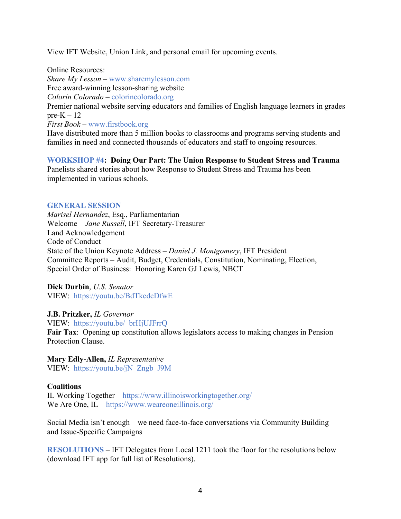View IFT Website, Union Link, and personal email for upcoming events.

Online Resources: *Share My Lesson* – www.sharemylesson.com Free award-winning lesson-sharing website *Colorin Colorado* – colorincolorado.org Premier national website serving educators and families of English language learners in grades pre- $K - 12$ *First Book* – www.firstbook.org

Have distributed more than 5 million books to classrooms and programs serving students and families in need and connected thousands of educators and staff to ongoing resources.

**WORKSHOP #4: Doing Our Part: The Union Response to Student Stress and Trauma** Panelists shared stories about how Response to Student Stress and Trauma has been implemented in various schools.

#### **GENERAL SESSION**

*Marisel Hernandez*, Esq., Parliamentarian Welcome – *Jane Russell*, IFT Secretary-Treasurer Land Acknowledgement Code of Conduct State of the Union Keynote Address – *Daniel J. Montgomery*, IFT President Committee Reports – Audit, Budget, Credentials, Constitution, Nominating, Election, Special Order of Business: Honoring Karen GJ Lewis, NBCT

**Dick Durbin**, *U.S. Senator* VIEW: https://youtu.be/BdTkedcDfwE

**J.B. Pritzker,** *IL Governor* VIEW: https://youtu.be/\_brHjUJFrrQ **Fair Tax**: Opening up constitution allows legislators access to making changes in Pension Protection Clause.

**Mary Edly-Allen,** *IL Representative* VIEW: https://youtu.be/jN\_Zngb\_J9M

### **Coalitions**

IL Working Together – https://www.illinoisworkingtogether.org/ We Are One, IL – https://www.weareoneillinois.org/

Social Media isn't enough – we need face-to-face conversations via Community Building and Issue-Specific Campaigns

**RESOLUTIONS** – IFT Delegates from Local 1211 took the floor for the resolutions below (download IFT app for full list of Resolutions).